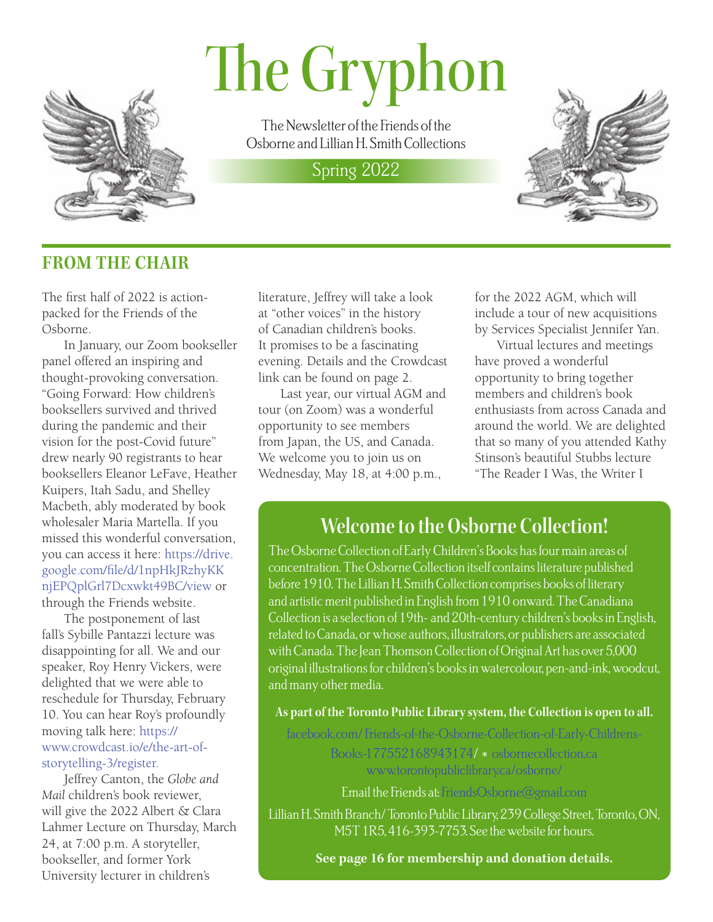# The Gryphon



The Newsletter of the Friends of the Osborne and Lillian H. Smith Collections

## Spring 2022



## **FROM THE CHAIR**

The first half of 2022 is actionpacked for the Friends of the Osborne.

In January, our Zoom bookseller panel offered an inspiring and thought-provoking conversation. "Going Forward: How children's booksellers survived and thrived during the pandemic and their vision for the post-Covid future" drew nearly 90 registrants to hear booksellers Eleanor LeFave, Heather Kuipers, Itah Sadu, and Shelley Macbeth, ably moderated by book wholesaler Maria Martella. If you missed this wonderful conversation, you can access it here: [https://drive.](https://drive.google.com/file/d/1npHkJRzhyKKnjEPQplGrl7Dcxwkt49BC/view) [google.com/file/d/1npHkJRzhyKK](https://drive.google.com/file/d/1npHkJRzhyKKnjEPQplGrl7Dcxwkt49BC/view) [njEPQplGrl7Dcxwkt49BC/view](https://drive.google.com/file/d/1npHkJRzhyKKnjEPQplGrl7Dcxwkt49BC/view) or through the Friends website.

The postponement of last fall's Sybille Pantazzi lecture was disappointing for all. We and our speaker, Roy Henry Vickers, were delighted that we were able to reschedule for Thursday, February 10. You can hear Roy's profoundly moving talk here: [https://](https://www.crowdcast.io/e/the-art-of-storytelling-3/register) [www.crowdcast.io/e/the-art-of](https://www.crowdcast.io/e/the-art-of-storytelling-3/register)[storytelling-3/register.](https://www.crowdcast.io/e/the-art-of-storytelling-3/register)

Jeffrey Canton, the *Globe and Mail* children's book reviewer, will give the 2022 Albert & Clara Lahmer Lecture on Thursday, March 24, at 7:00 p.m. A storyteller, bookseller, and former York University lecturer in children's

literature, Jeffrey will take a look at "other voices" in the history of Canadian children's books. It promises to be a fascinating evening. Details and the Crowdcast link can be found on page 2.

Last year, our virtual AGM and tour (on Zoom) was a wonderful opportunity to see members from Japan, the US, and Canada. We welcome you to join us on Wednesday, May 18, at 4:00 p.m.,

for the 2022 AGM, which will include a tour of new acquisitions by Services Specialist Jennifer Yan.

Virtual lectures and meetings have proved a wonderful opportunity to bring together members and children's book enthusiasts from across Canada and around the world. We are delighted that so many of you attended Kathy Stinson's beautiful Stubbs lecture "The Reader I Was, the Writer I

## **Welcome to the Osborne Collection!**

The Osborne Collection of Early Children's Books has four main areas of concentration. The Osborne Collection itself contains literature published before 1910. The Lillian H. Smith Collection comprises books of literary and artistic merit published in English from 1910 onward. The Canadiana Collection is a selection of 19th- and 20th-century children's books in English, related to Canada, or whose authors, illustrators, or publishers are associated with Canada. The Jean Thomson Collection of Original Art has over 5,000 original illustrations for children's books in watercolour, pen-and-ink, woodcut, and many other media.

#### **As part of the Toronto Public Library system, the Collection is open to all.**

[facebook.com/ Friends-of-the-Osborne-Collection-of-Early-Childrens-](https://www.facebook.com/Friends-of-the-Osborne-Collection-of-Early-Childrens-Books-177552168943174/)[Books-177552168943174/](https://www.facebook.com/Friends-of-the-Osborne-Collection-of-Early-Childrens-Books-177552168943174/) \* [osbornecollection.ca](http://osbornecollection.ca/) [www.torontopubliclibrary.ca/osborne/](http://www.torontopubliclibrary.ca/osborne/)

Email the Friends at: [FriendsOsborne@gmail.com](mailto:FriendsOsborne%40gmail.com?subject=)

Lillian H. Smith Branch/ Toronto Public Library, 239 College Street, Toronto, ON, M5T 1R5, 416-393-7753. See the website for hours.

**See page 16 for membership and donation details.**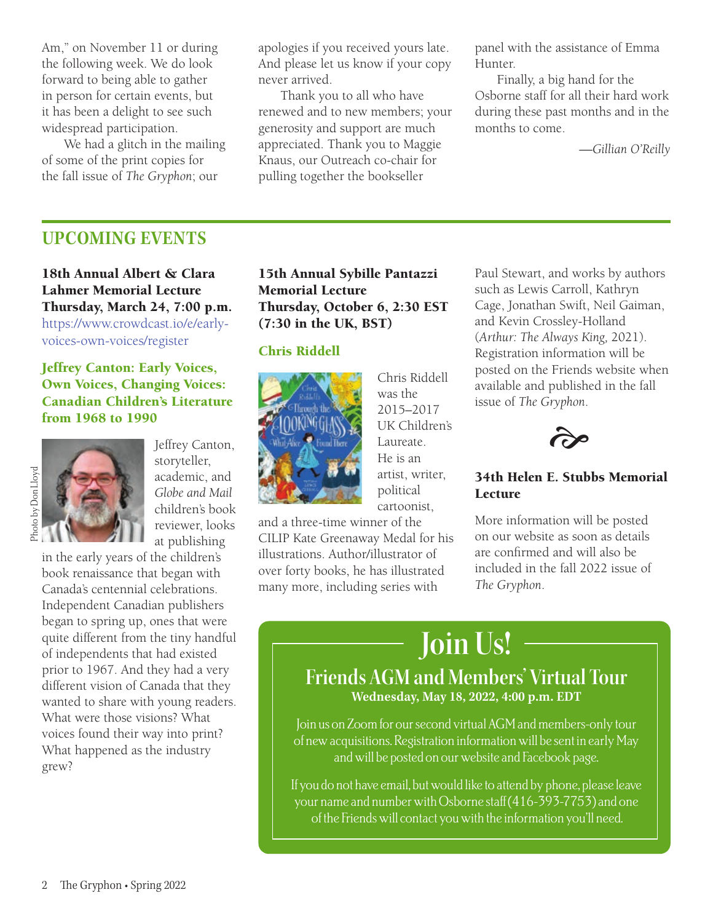Am," on November 11 or during the following week. We do look forward to being able to gather in person for certain events, but it has been a delight to see such widespread participation.

We had a glitch in the mailing of some of the print copies for the fall issue of *The Gryphon*; our

apologies if you received yours late. And please let us know if your copy never arrived.

Thank you to all who have renewed and to new members; your generosity and support are much appreciated. Thank you to Maggie Knaus, our Outreach co-chair for pulling together the bookseller

panel with the assistance of Emma Hunter.

Finally, a big hand for the Osborne staff for all their hard work during these past months and in the months to come.

*—Gillian O'Reilly*

## **UPCOMING EVENTS**

18th Annual Albert & Clara Lahmer Memorial Lecture Thursday, March 24, 7:00 p.m. [https://www.crowdcast.io/e/early](https://www.crowdcast.io/e/early-voices-own-voices/register)[voices-own-voices/register](https://www.crowdcast.io/e/early-voices-own-voices/register)

#### Jeffrey Canton: Early Voices, Own Voices, Changing Voices: Canadian Children's Literature from 1968 to 1990



Jeffrey Canton, storyteller, academic, and *Globe and Mail*  children's book reviewer, looks at publishing

in the early years of the children's book renaissance that began with Canada's centennial celebrations. Independent Canadian publishers began to spring up, ones that were quite different from the tiny handful of independents that had existed prior to 1967. And they had a very different vision of Canada that they wanted to share with young readers. What were those visions? What voices found their way into print? What happened as the industry grew?

### 15th Annual Sybille Pantazzi Memorial Lecture Thursday, October 6, 2:30 EST (7:30 in the UK, BST)

#### Chris Riddell



Chris Riddell was the 2015–2017 UK Children's Laureate. He is an artist, writer, political cartoonist,

and a three-time winner of the CILIP Kate Greenaway Medal for his illustrations. Author/illustrator of over forty books, he has illustrated many more, including series with

Paul Stewart, and works by authors such as Lewis Carroll, Kathryn Cage, Jonathan Swift, Neil Gaiman, and Kevin Crossley-Holland (*Arthur: The Always King,* 2021). Registration information will be posted on the Friends website when available and published in the fall issue of *The Gryphon*.



#### 34th Helen E. Stubbs Memorial **Lecture**

More information will be posted on our website as soon as details are confirmed and will also be included in the fall 2022 issue of *The Gryphon*.

## **Join Us!**

## **Friends AGM and Members' Virtual Tour Wednesday, May 18, 2022, 4:00 p.m. EDT**

Join us on Zoom for our second virtual AGM and members-only tour of new acquisitions. Registration information will be sent in early May and will be posted on our website and Facebook page.

If you do not have email, but would like to attend by phone, please leave your name and number with Osborne staff (416-393-7753) and one of the Friends will contact you with the information you'll need.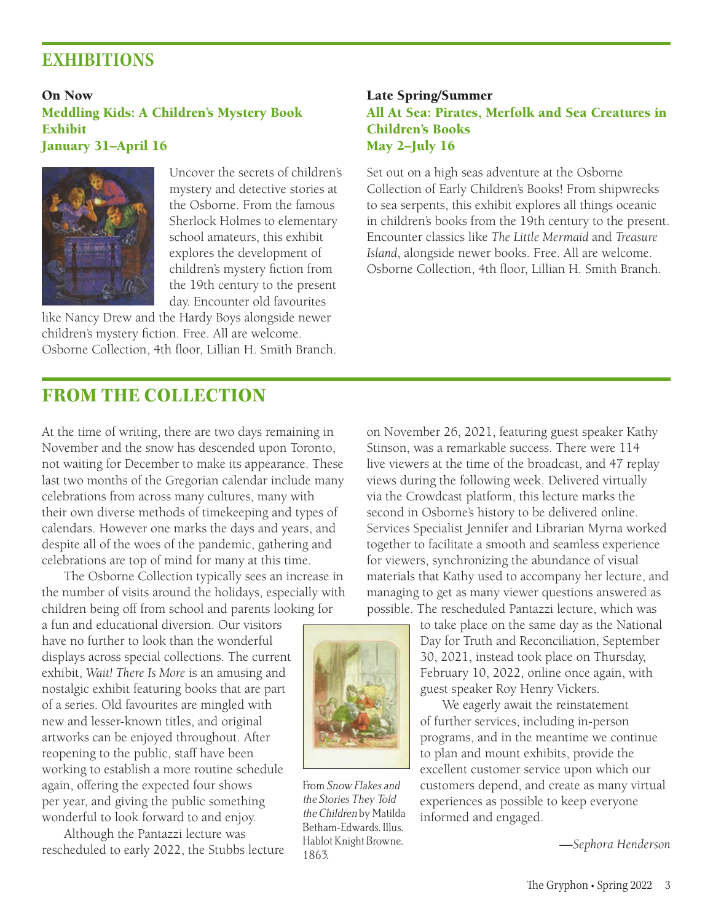## **EXHIBITIONS**

On Now Meddling Kids: A Children's Mystery Book Exhibit January 31–April 16



Uncover the secrets of children's mystery and detective stories at the Osborne. From the famous Sherlock Holmes to elementary school amateurs, this exhibit explores the development of children's mystery fiction from the 19th century to the present day. Encounter old favourites

like Nancy Drew and the Hardy Boys alongside newer children's mystery fiction. Free. All are welcome. Osborne Collection, 4th floor, Lillian H. Smith Branch.

### Late Spring/Summer All At Sea: Pirates, Merfolk and Sea Creatures in Children's Books May 2–July 16

Set out on a high seas adventure at the Osborne Collection of Early Children's Books! From shipwrecks to sea serpents, this exhibit explores all things oceanic in children's books from the 19th century to the present. Encounter classics like *The Little Mermaid* and *Treasure Island*, alongside newer books. Free. All are welcome. Osborne Collection, 4th floor, Lillian H. Smith Branch.

## **FROM THE COLLECTION**

At the time of writing, there are two days remaining in November and the snow has descended upon Toronto, not waiting for December to make its appearance. These last two months of the Gregorian calendar include many celebrations from across many cultures, many with their own diverse methods of timekeeping and types of calendars. However one marks the days and years, and despite all of the woes of the pandemic, gathering and celebrations are top of mind for many at this time.

The Osborne Collection typically sees an increase in the number of visits around the holidays, especially with children being off from school and parents looking for

a fun and educational diversion. Our visitors have no further to look than the wonderful displays across special collections. The current exhibit, *Wait! There Is More* is an amusing and nostalgic exhibit featuring books that are part of a series. Old favourites are mingled with new and lesser-known titles, and original artworks can be enjoyed throughout. After reopening to the public, staff have been working to establish a more routine schedule again, offering the expected four shows per year, and giving the public something wonderful to look forward to and enjoy.

Although the Pantazzi lecture was rescheduled to early 2022, the Stubbs lecture on November 26, 2021, featuring guest speaker Kathy Stinson, was a remarkable success. There were 114 live viewers at the time of the broadcast, and 47 replay views during the following week. Delivered virtually via the Crowdcast platform, this lecture marks the second in Osborne's history to be delivered online. Services Specialist Jennifer and Librarian Myrna worked together to facilitate a smooth and seamless experience for viewers, synchronizing the abundance of visual materials that Kathy used to accompany her lecture, and managing to get as many viewer questions answered as possible. The rescheduled Pantazzi lecture, which was

> to take place on the same day as the National Day for Truth and Reconciliation, September 30, 2021, instead took place on Thursday, February 10, 2022, online once again, with guest speaker Roy Henry Vickers.

We eagerly await the reinstatement of further services, including in-person programs, and in the meantime we continue to plan and mount exhibits, provide the excellent customer service upon which our customers depend, and create as many virtual experiences as possible to keep everyone informed and engaged.

*—Sephora Henderson*



From Snow Flakes and the Stories They Told the Children by Matilda Betham-Edwards. Illus. Hablot Knight Browne. 1863.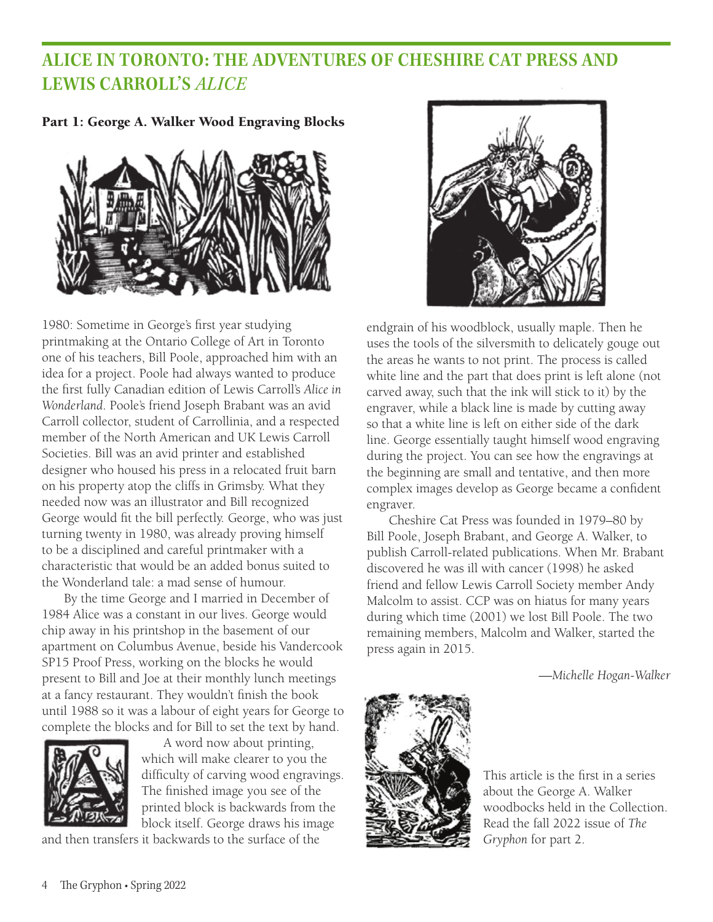## **ALICE IN TORONTO: THE ADVENTURES OF CHESHIRE CAT PRESS AND LEWIS CARROLL'S** *ALICE*

Part 1: George A. Walker Wood Engraving Blocks



1980: Sometime in George's first year studying printmaking at the Ontario College of Art in Toronto one of his teachers, Bill Poole, approached him with an idea for a project. Poole had always wanted to produce the first fully Canadian edition of Lewis Carroll's *Alice in Wonderland*. Poole's friend Joseph Brabant was an avid Carroll collector, student of Carrollinia, and a respected member of the North American and UK Lewis Carroll Societies. Bill was an avid printer and established designer who housed his press in a relocated fruit barn on his property atop the cliffs in Grimsby. What they needed now was an illustrator and Bill recognized George would fit the bill perfectly. George, who was just turning twenty in 1980, was already proving himself to be a disciplined and careful printmaker with a characteristic that would be an added bonus suited to the Wonderland tale: a mad sense of humour.

By the time George and I married in December of 1984 Alice was a constant in our lives. George would chip away in his printshop in the basement of our apartment on Columbus Avenue, beside his Vandercook SP15 Proof Press, working on the blocks he would present to Bill and Joe at their monthly lunch meetings at a fancy restaurant. They wouldn't finish the book until 1988 so it was a labour of eight years for George to complete the blocks and for Bill to set the text by hand.



A word now about printing, which will make clearer to you the difficulty of carving wood engravings. The finished image you see of the printed block is backwards from the block itself. George draws his image

and then transfers it backwards to the surface of the



endgrain of his woodblock, usually maple. Then he uses the tools of the silversmith to delicately gouge out the areas he wants to not print. The process is called white line and the part that does print is left alone (not carved away, such that the ink will stick to it) by the engraver, while a black line is made by cutting away so that a white line is left on either side of the dark line. George essentially taught himself wood engraving during the project. You can see how the engravings at the beginning are small and tentative, and then more complex images develop as George became a confident engraver.

Cheshire Cat Press was founded in 1979–80 by Bill Poole, Joseph Brabant, and George A. Walker, to publish Carroll-related publications. When Mr. Brabant discovered he was ill with cancer (1998) he asked friend and fellow Lewis Carroll Society member Andy Malcolm to assist. CCP was on hiatus for many years during which time (2001) we lost Bill Poole. The two remaining members, Malcolm and Walker, started the press again in 2015.

*—Michelle Hogan-Walker*



This article is the first in a series about the George A. Walker woodbocks held in the Collection. Read the fall 2022 issue of *The Gryphon* for part 2.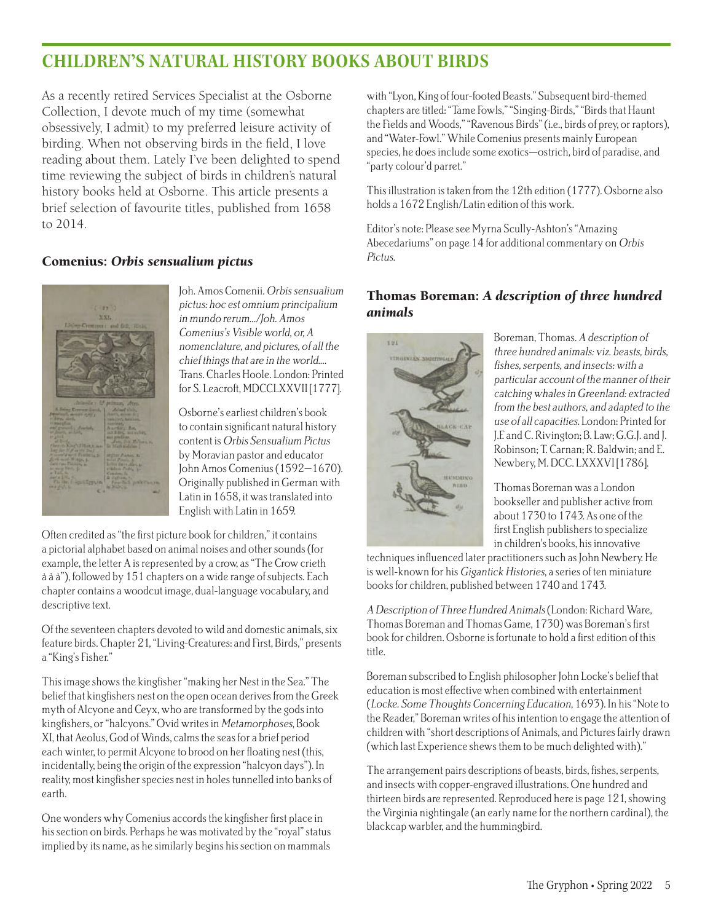## **CHILDREN**'**S NATURAL HISTORY BOOKS ABOUT BIRDS**

As a recently retired Services Specialist at the Osborne Collection, I devote much of my time (somewhat obsessively, I admit) to my preferred leisure activity of birding. When not observing birds in the field, I love reading about them. Lately I've been delighted to spend time reviewing the subject of birds in children's natural history books held at Osborne. This article presents a brief selection of favourite titles, published from 1658 to 2014.

#### Comenius: *Orbis sensualium pictus*



Joh. Amos Comenii. Orbis sensualium pictus: hoc est omnium principalium in mundo rerum.../Joh. Amos Comenius's Visible world, or, A nomenclature, and pictures, of all the chief things that are in the world.... Trans. Charles Hoole. London: Printed for S. Leacroft, MDCCLXXVII [1777].

Osborne's earliest children's book to contain significant natural history content is Orbis Sensualium Pictus by Moravian pastor and educator John Amos Comenius (1592–1670). Originally published in German with Latin in 1658, it was translated into English with Latin in 1659.

Often credited as "the first picture book for children," it contains a pictorial alphabet based on animal noises and other sounds (for example, the letter A is represented by a crow, as "The Crow crieth à à à"), followed by 151 chapters on a wide range of subjects. Each chapter contains a woodcut image, dual-language vocabulary, and descriptive text.

Of the seventeen chapters devoted to wild and domestic animals, six feature birds. Chapter 21, "Living-Creatures: and First, Birds," presents a "King's Fisher."

This image shows the kingfisher "making her Nest in the Sea." The belief that kingfishers nest on the open ocean derives from the Greek myth of Alcyone and Ceyx, who are transformed by the gods into kingfishers, or "halcyons." Ovid writes in Metamorphoses, Book XI, that Aeolus, God of Winds, calms the seas for a brief period each winter, to permit Alcyone to brood on her floating nest (this, incidentally, being the origin of the expression "halcyon days"). In reality, most kingfisher species nest in holes tunnelled into banks of earth.

One wonders why Comenius accords the kingfisher first place in his section on birds. Perhaps he was motivated by the "royal" status implied by its name, as he similarly begins his section on mammals with "Lyon, King of four-footed Beasts." Subsequent bird-themed chapters are titled: "Tame Fowls," "Singing-Birds," "Birds that Haunt the Fields and Woods," "Ravenous Birds" (i.e., birds of prey, or raptors), and "Water-Fowl." While Comenius presents mainly European species, he does include some exotics—ostrich, bird of paradise, and "party colour'd parret."

This illustration is taken from the 12th edition (1777). Osborne also holds a 1672 English/Latin edition of this work.

Editor's note: Please see Myrna Scully-Ashton's "Amazing Abecedariums" on page 14 for additional commentary on Orbis Pictus.

#### Thomas Boreman: *A description of three hundred animals*



Boreman, Thomas. A description of three hundred animals: viz. beasts, birds, fishes, serpents, and insects: with a particular account of the manner of their catching whales in Greenland: extracted from the best authors, and adapted to the use of all capacities. London: Printed for J.F. and C. Rivington; B. Law; G.G.J. and J. Robinson; T. Carnan; R. Baldwin; and E. Newbery, M. DCC. LXXXVI [1786].

Thomas Boreman was a London bookseller and publisher active from about 1730 to 1743. As one of the first English publishers to specialize in children's books, his innovative

techniques influenced later practitioners such as John Newbery. He is well-known for his Gigantick Histories, a series of ten miniature books for children, published between 1740 and 1743.

A Description of Three Hundred Animals (London: Richard Ware, Thomas Boreman and Thomas Game, 1730) was Boreman's first book for children. Osborne is fortunate to hold a first edition of this title.

Boreman subscribed to English philosopher John Locke's belief that education is most effective when combined with entertainment (Locke. Some Thoughts Concerning Education, 1693). In his "Note to the Reader," Boreman writes of his intention to engage the attention of children with "short descriptions of Animals, and Pictures fairly drawn (which last Experience shews them to be much delighted with)."

The arrangement pairs descriptions of beasts, birds, fishes, serpents, and insects with copper-engraved illustrations. One hundred and thirteen birds are represented. Reproduced here is page 121, showing the Virginia nightingale (an early name for the northern cardinal), the blackcap warbler, and the hummingbird.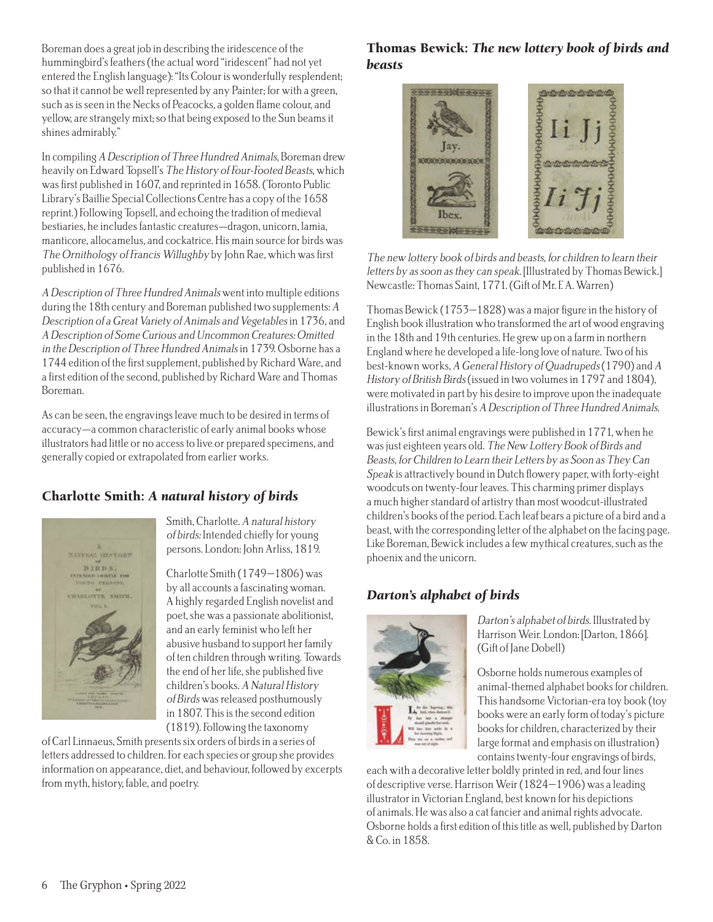Boreman does a great job in describing the iridescence of the hummingbird's feathers (the actual word "iridescent" had not yet entered the English language): "Its Colour is wonderfully resplendent; so that it cannot be well represented by any Painter; for with a green, such as is seen in the Necks of Peacocks, a golden flame colour, and yellow, are strangely mixt; so that being exposed to the Sun beams it shines admirably."

In compiling A Description of Three Hundred Animals, Boreman drew heavily on Edward Topsell's The History of Four-Footed Beasts, which was first published in 1607, and reprinted in 1658. (Toronto Public Library's Baillie Special Collections Centre has a copy of the 1658 reprint.) Following Topsell, and echoing the tradition of medieval bestiaries, he includes fantastic creatures—dragon, unicorn, lamia, manticore, allocamelus, and cockatrice. His main source for birds was The Ornithology of Francis Willughby by John Rae, which was first published in 1676.

A Description of Three Hundred Animals went into multiple editions during the 18th century and Boreman published two supplements: A Description of a Great Variety of Animals and Vegetables in 1736, and A Description of Some Curious and Uncommon Creatures: Omitted in the Description of Three Hundred Animals in 1739. Osborne has a 1744 edition of the first supplement, published by Richard Ware, and a first edition of the second, published by Richard Ware and Thomas Boreman.

As can be seen, the engravings leave much to be desired in terms of accuracy—a common characteristic of early animal books whose illustrators had little or no access to live or prepared specimens, and generally copied or extrapolated from earlier works.

## Charlotte Smith: *A natural history of birds*



Smith, Charlotte. A natural history of birds: Intended chiefly for young persons. London: John Arliss, 1819.

Charlotte Smith (1749–1806) was by all accounts a fascinating woman. A highly regarded English novelist and poet, she was a passionate abolitionist, and an early feminist who left her abusive husband to support her family of ten children through writing. Towards the end of her life, she published five children's books. A Natural History of Birds was released posthumously in 1807. This is the second edition (1819). Following the taxonomy

of Carl Linnaeus, Smith presents six orders of birds in a series of letters addressed to children. For each species or group she provides information on appearance, diet, and behaviour, followed by excerpts from myth, history, fable, and poetry.

#### Thomas Bewick: *The new lottery book of birds and beasts*



The new lottery book of birds and beasts, for children to learn their letters by as soon as they can speak. [Illustrated by Thomas Bewick.] Newcastle: Thomas Saint, 1771. (Gift of Mr. F. A. Warren)

Thomas Bewick (1753–1828) was a major figure in the history of English book illustration who transformed the art of wood engraving in the 18th and 19th centuries. He grew up on a farm in northern England where he developed a life-long love of nature. Two of his best-known works, A General History of Quadrupeds (1790) and A History of British Birds (issued in two volumes in 1797 and 1804), were motivated in part by his desire to improve upon the inadequate illustrations in Boreman's A Description of Three Hundred Animals.

Bewick's first animal engravings were published in 1771, when he was just eighteen years old. The New Lottery Book of Birds and Beasts, for Children to Learn their Letters by as Soon as They Can Speak is attractively bound in Dutch flowery paper, with forty-eight woodcuts on twenty-four leaves. This charming primer displays a much higher standard of artistry than most woodcut-illustrated children's books of the period. Each leaf bears a picture of a bird and a beast, with the corresponding letter of the alphabet on the facing page. Like Boreman, Bewick includes a few mythical creatures, such as the phoenix and the unicorn.

## *Darton's alphabet of birds*



Darton's alphabet of birds. Illustrated by Harrison Weir. London: [Darton, 1866]. (Gift of Jane Dobell)

Osborne holds numerous examples of animal-themed alphabet books for children. This handsome Victorian-era toy book (toy books were an early form of today's picture books for children, characterized by their large format and emphasis on illustration) contains twenty-four engravings of birds,

each with a decorative letter boldly printed in red, and four lines of descriptive verse. Harrison Weir (1824–1906) was a leading illustrator in Victorian England, best known for his depictions of animals. He was also a cat fancier and animal rights advocate. Osborne holds a first edition of this title as well, published by Darton & Co. in 1858.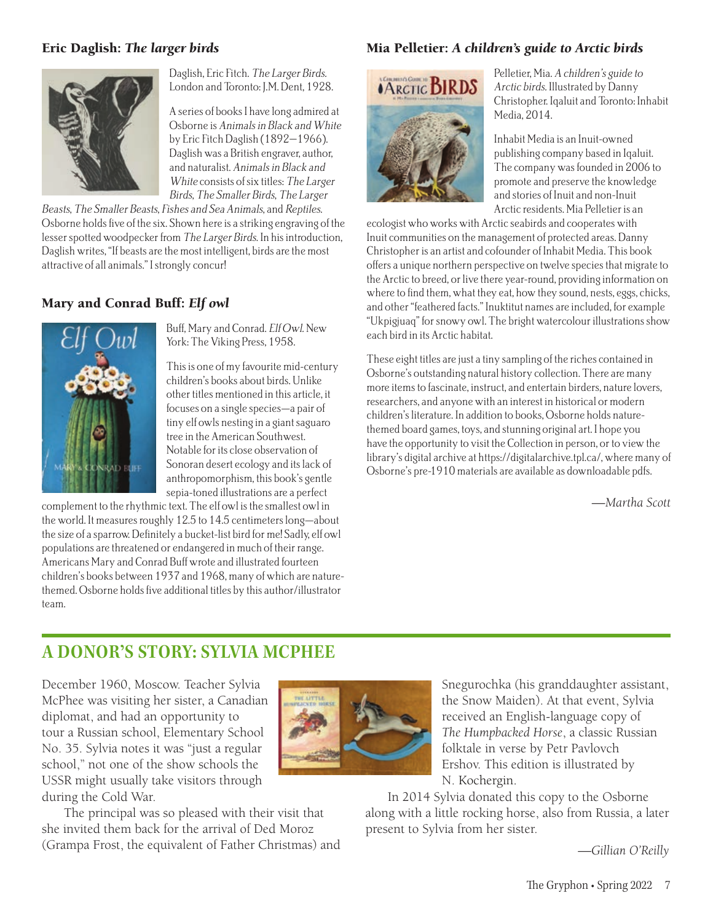#### Eric Daglish: *The larger birds*



Daglish, Eric Fitch. The Larger Birds. London and Toronto: J.M. Dent, 1928.

A series of books I have long admired at Osborne is Animals in Black and White by Eric Fitch Daglish (1892–1966). Daglish was a British engraver, author, and naturalist. Animals in Black and White consists of six titles: The Larger Birds, The Smaller Birds, The Larger

Beasts, The Smaller Beasts, Fishes and Sea Animals, and Reptiles. Osborne holds five of the six. Shown here is a striking engraving of the lesser spotted woodpecker from The Larger Birds. In his introduction, Daglish writes, "If beasts are the most intelligent, birds are the most attractive of all animals." I strongly concur!

#### Mary and Conrad Buff: *Elf owl*



Buff, Mary and Conrad. Elf Owl. New York: The Viking Press, 1958.

This is one of my favourite mid-century children's books about birds. Unlike other titles mentioned in this article, it focuses on a single species—a pair of tiny elf owls nesting in a giant saguaro tree in the American Southwest. Notable for its close observation of Sonoran desert ecology and its lack of anthropomorphism, this book's gentle sepia-toned illustrations are a perfect

complement to the rhythmic text. The elf owl is the smallest owl in the world. It measures roughly 12.5 to 14.5 centimeters long—about the size of a sparrow. Definitely a bucket-list bird for me! Sadly, elf owl populations are threatened or endangered in much of their range. Americans Mary and Conrad Buff wrote and illustrated fourteen children's books between 1937 and 1968, many of which are naturethemed. Osborne holds five additional titles by this author/illustrator team.

#### Mia Pelletier: *A children's guide to Arctic birds*



Pelletier, Mia. A children's guide to Arctic birds. Illustrated by Danny Christopher. Iqaluit and Toronto: Inhabit Media, 2014.

Inhabit Media is an Inuit-owned publishing company based in Iqaluit. The company was founded in 2006 to promote and preserve the knowledge and stories of Inuit and non-Inuit Arctic residents. Mia Pelletier is an

ecologist who works with Arctic seabirds and cooperates with Inuit communities on the management of protected areas. Danny Christopher is an artist and cofounder of Inhabit Media. This book offers a unique northern perspective on twelve species that migrate to the Arctic to breed, or live there year-round, providing information on where to find them, what they eat, how they sound, nests, eggs, chicks, and other "feathered facts." Inuktitut names are included, for example "Ukpigjuaq" for snowy owl. The bright watercolour illustrations show each bird in its Arctic habitat.

These eight titles are just a tiny sampling of the riches contained in Osborne's outstanding natural history collection. There are many more items to fascinate, instruct, and entertain birders, nature lovers, researchers, and anyone with an interest in historical or modern children's literature. In addition to books, Osborne holds naturethemed board games, toys, and stunning original art. I hope you have the opportunity to visit the Collection in person, or to view the library's digital archive at https://digitalarchive.tpl.ca/, where many of Osborne's pre-1910 materials are available as downloadable pdfs.

*—Martha Scott*

## **A DONOR**'**S STORY: SYLVIA MCPHEE**

December 1960, Moscow. Teacher Sylvia McPhee was visiting her sister, a Canadian diplomat, and had an opportunity to tour a Russian school, Elementary School No. 35. Sylvia notes it was "just a regular school," not one of the show schools the USSR might usually take visitors through during the Cold War.

The principal was so pleased with their visit that she invited them back for the arrival of Ded Moroz (Grampa Frost, the equivalent of Father Christmas) and



Snegurochka (his granddaughter assistant, the Snow Maiden). At that event, Sylvia received an English-language copy of *The Humpbacked Horse*, a classic Russian folktale in verse by Petr Pavlovch Ershov. This edition is illustrated by N. Kochergin.

In 2014 Sylvia donated this copy to the Osborne along with a little rocking horse, also from Russia, a later present to Sylvia from her sister.

*—Gillian O'Reilly*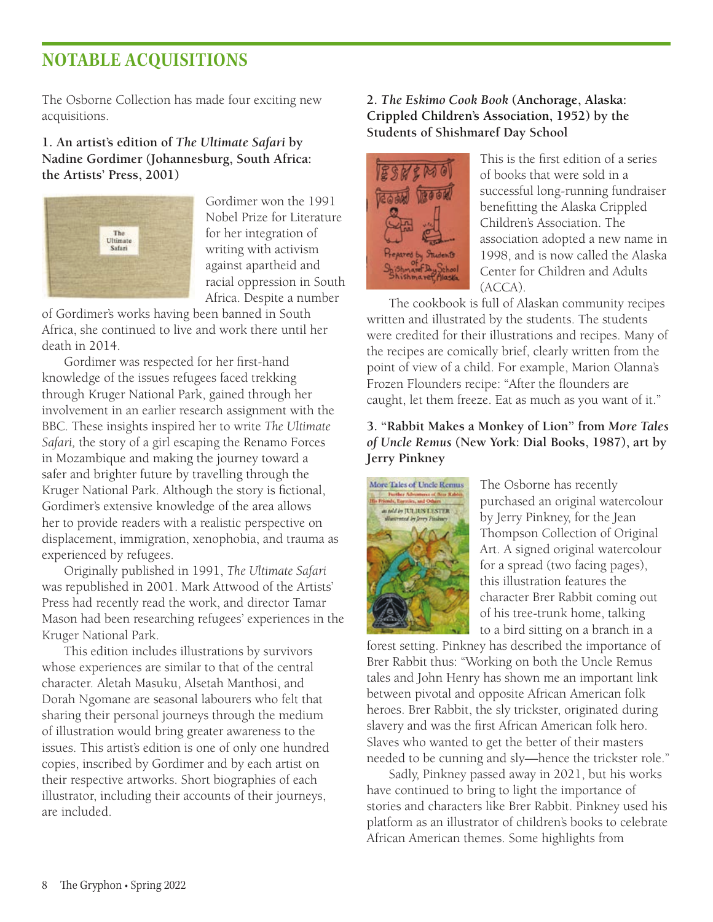## **NOTABLE ACQUISITIONS**

The Osborne Collection has made four exciting new acquisitions.

#### **1. An artist's edition of** *The Ultimate Safari* **by Nadine Gordimer (Johannesburg, South Africa: the Artists' Press, 2001)**



Gordimer won the 1991 Nobel Prize for Literature for her integration of writing with activism against apartheid and racial oppression in South Africa. Despite a number

of Gordimer's works having been banned in South Africa, she continued to live and work there until her death in 2014.

Gordimer was respected for her first-hand knowledge of the issues refugees faced trekking through Kruger National Park, gained through her involvement in an earlier research assignment with the BBC. These insights inspired her to write *The Ultimate Safari,* the story of a girl escaping the Renamo Forces in Mozambique and making the journey toward a safer and brighter future by travelling through the Kruger National Park. Although the story is fictional, Gordimer's extensive knowledge of the area allows her to provide readers with a realistic perspective on displacement, immigration, xenophobia, and trauma as experienced by refugees.

Originally published in 1991, *The Ultimate Safari*  was republished in 2001. Mark Attwood of the Artists' Press had recently read the work, and director Tamar Mason had been researching refugees' experiences in the Kruger National Park.

This edition includes illustrations by survivors whose experiences are similar to that of the central character. Aletah Masuku, Alsetah Manthosi, and Dorah Ngomane are seasonal labourers who felt that sharing their personal journeys through the medium of illustration would bring greater awareness to the issues. This artist's edition is one of only one hundred copies, inscribed by Gordimer and by each artist on their respective artworks. Short biographies of each illustrator, including their accounts of their journeys, are included.

#### **2.** *The Eskimo Cook Book* **(Anchorage, Alaska: Crippled Children's Association, 1952) by the Students of Shishmaref Day School**



This is the first edition of a series of books that were sold in a successful long-running fundraiser benefitting the Alaska Crippled Children's Association. The association adopted a new name in 1998, and is now called the Alaska Center for Children and Adults  $(ACCA)$ 

The cookbook is full of Alaskan community recipes written and illustrated by the students. The students were credited for their illustrations and recipes. Many of the recipes are comically brief, clearly written from the point of view of a child. For example, Marion Olanna's Frozen Flounders recipe: "After the flounders are caught, let them freeze. Eat as much as you want of it."

#### **3. "Rabbit Makes a Monkey of Lion" from** *More Tales of Uncle Remus* **(New York: Dial Books, 1987), art by Jerry Pinkney**



The Osborne has recently purchased an original watercolour by Jerry Pinkney, for the Jean Thompson Collection of Original Art. A signed original watercolour for a spread (two facing pages), this illustration features the character Brer Rabbit coming out of his tree-trunk home, talking to a bird sitting on a branch in a

forest setting. Pinkney has described the importance of Brer Rabbit thus: "Working on both the Uncle Remus tales and John Henry has shown me an important link between pivotal and opposite African American folk heroes. Brer Rabbit, the sly trickster, originated during slavery and was the first African American folk hero. Slaves who wanted to get the better of their masters needed to be cunning and sly—hence the trickster role."

Sadly, Pinkney passed away in 2021, but his works have continued to bring to light the importance of stories and characters like Brer Rabbit. Pinkney used his platform as an illustrator of children's books to celebrate African American themes. Some highlights from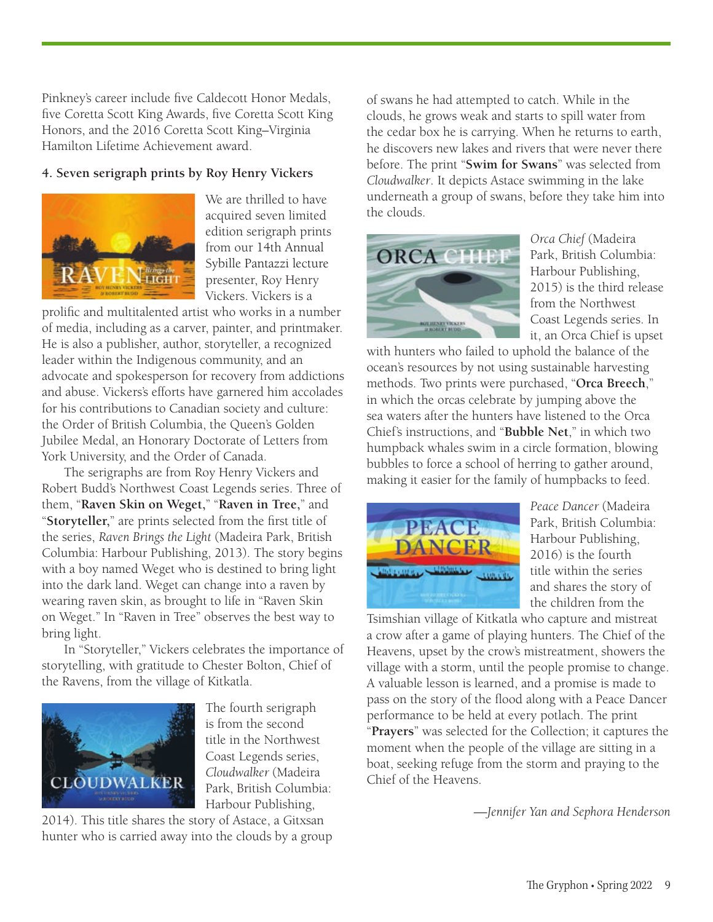Pinkney's career include five Caldecott Honor Medals, five Coretta Scott King Awards, five Coretta Scott King Honors, and the 2016 Coretta Scott King–Virginia Hamilton Lifetime Achievement award.

#### **4. Seven serigraph prints by Roy Henry Vickers**



We are thrilled to have acquired seven limited edition serigraph prints from our 14th Annual Sybille Pantazzi lecture presenter, Roy Henry Vickers. Vickers is a

prolific and multitalented artist who works in a number of media, including as a carver, painter, and printmaker. He is also a publisher, author, storyteller, a recognized leader within the Indigenous community, and an advocate and spokesperson for recovery from addictions and abuse. Vickers's efforts have garnered him accolades for his contributions to Canadian society and culture: the Order of British Columbia, the Queen's Golden Jubilee Medal, an Honorary Doctorate of Letters from York University, and the Order of Canada.

The serigraphs are from Roy Henry Vickers and Robert Budd's Northwest Coast Legends series. Three of them, "**Raven Skin on Weget,**" "**Raven in Tree,**" and "**Storyteller,**" are prints selected from the first title of the series, *Raven Brings the Light* (Madeira Park, British Columbia: Harbour Publishing, 2013). The story begins with a boy named Weget who is destined to bring light into the dark land. Weget can change into a raven by wearing raven skin, as brought to life in "Raven Skin on Weget." In "Raven in Tree" observes the best way to bring light.

In "Storyteller," Vickers celebrates the importance of storytelling, with gratitude to Chester Bolton, Chief of the Ravens, from the village of Kitkatla.



The fourth serigraph is from the second title in the Northwest Coast Legends series, *Cloudwalker* (Madeira Park, British Columbia: Harbour Publishing,

2014). This title shares the story of Astace, a Gitxsan hunter who is carried away into the clouds by a group of swans he had attempted to catch. While in the clouds, he grows weak and starts to spill water from the cedar box he is carrying. When he returns to earth, he discovers new lakes and rivers that were never there before. The print "**Swim for Swans**" was selected from *Cloudwalker*. It depicts Astace swimming in the lake underneath a group of swans, before they take him into the clouds.



*Orca Chief* (Madeira Park, British Columbia: Harbour Publishing, 2015) is the third release from the Northwest Coast Legends series. In it, an Orca Chief is upset

with hunters who failed to uphold the balance of the ocean's resources by not using sustainable harvesting methods. Two prints were purchased, "**Orca Breech**," in which the orcas celebrate by jumping above the sea waters after the hunters have listened to the Orca Chief's instructions, and "**Bubble Net**," in which two humpback whales swim in a circle formation, blowing bubbles to force a school of herring to gather around, making it easier for the family of humpbacks to feed.



*Peace Dancer* (Madeira Park, British Columbia: Harbour Publishing, 2016) is the fourth title within the series and shares the story of the children from the

Tsimshian village of Kitkatla who capture and mistreat a crow after a game of playing hunters. The Chief of the Heavens, upset by the crow's mistreatment, showers the village with a storm, until the people promise to change. A valuable lesson is learned, and a promise is made to pass on the story of the flood along with a Peace Dancer performance to be held at every potlach. The print "**Prayers**" was selected for the Collection; it captures the moment when the people of the village are sitting in a boat, seeking refuge from the storm and praying to the Chief of the Heavens.

*—Jennifer Yan and Sephora Henderson*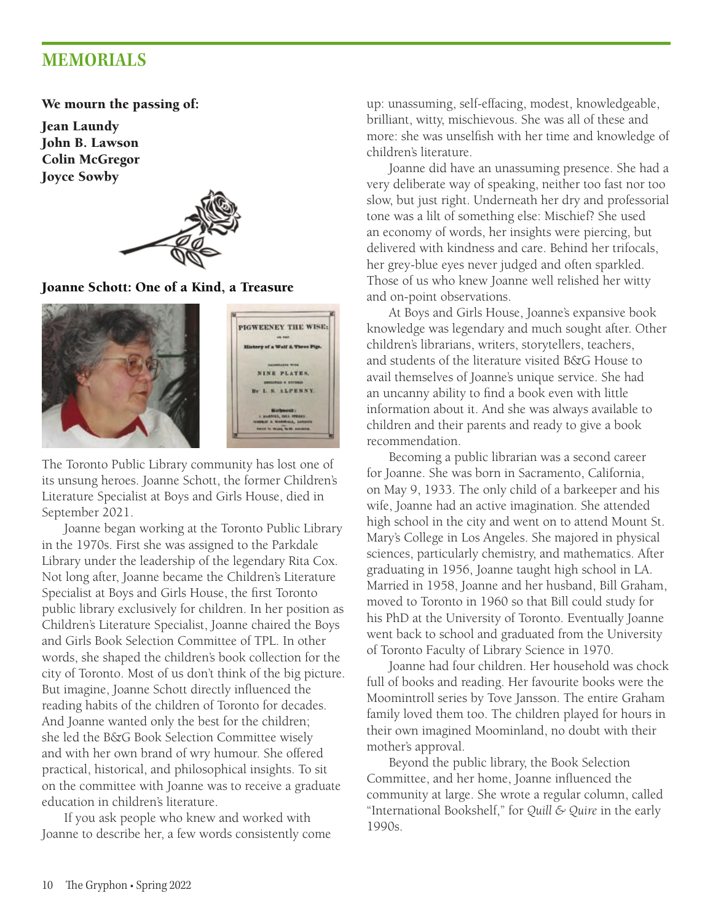## **MEMORIALS**

We mourn the passing of:

Jean Laundy John B. Lawson Colin McGregor Joyce Sowby



Joanne Schott: One of a Kind, a Treasure



The Toronto Public Library community has lost one of its unsung heroes. Joanne Schott, the former Children's Literature Specialist at Boys and Girls House, died in September 2021.

Joanne began working at the Toronto Public Library in the 1970s. First she was assigned to the Parkdale Library under the leadership of the legendary Rita Cox. Not long after, Joanne became the Children's Literature Specialist at Boys and Girls House, the first Toronto public library exclusively for children. In her position as Children's Literature Specialist, Joanne chaired the Boys and Girls Book Selection Committee of TPL. In other words, she shaped the children's book collection for the city of Toronto. Most of us don't think of the big picture. But imagine, Joanne Schott directly influenced the reading habits of the children of Toronto for decades. And Joanne wanted only the best for the children; she led the B&G Book Selection Committee wisely and with her own brand of wry humour. She offered practical, historical, and philosophical insights. To sit on the committee with Joanne was to receive a graduate education in children's literature.

If you ask people who knew and worked with Joanne to describe her, a few words consistently come up: unassuming, self-effacing, modest, knowledgeable, brilliant, witty, mischievous. She was all of these and more: she was unselfish with her time and knowledge of children's literature.

Joanne did have an unassuming presence. She had a very deliberate way of speaking, neither too fast nor too slow, but just right. Underneath her dry and professorial tone was a lilt of something else: Mischief? She used an economy of words, her insights were piercing, but delivered with kindness and care. Behind her trifocals, her grey-blue eyes never judged and often sparkled. Those of us who knew Joanne well relished her witty and on-point observations.

At Boys and Girls House, Joanne's expansive book knowledge was legendary and much sought after. Other children's librarians, writers, storytellers, teachers, and students of the literature visited B&G House to avail themselves of Joanne's unique service. She had an uncanny ability to find a book even with little information about it. And she was always available to children and their parents and ready to give a book recommendation.

Becoming a public librarian was a second career for Joanne. She was born in Sacramento, California, on May 9, 1933. The only child of a barkeeper and his wife, Joanne had an active imagination. She attended high school in the city and went on to attend Mount St. Mary's College in Los Angeles. She majored in physical sciences, particularly chemistry, and mathematics. After graduating in 1956, Joanne taught high school in LA. Married in 1958, Joanne and her husband, Bill Graham, moved to Toronto in 1960 so that Bill could study for his PhD at the University of Toronto. Eventually Joanne went back to school and graduated from the University of Toronto Faculty of Library Science in 1970.

Joanne had four children. Her household was chock full of books and reading. Her favourite books were the Moomintroll series by Tove Jansson. The entire Graham family loved them too. The children played for hours in their own imagined Moominland, no doubt with their mother's approval.

Beyond the public library, the Book Selection Committee, and her home, Joanne influenced the community at large. She wrote a regular column, called "International Bookshelf," for *Quill & Quire* in the early 1990s.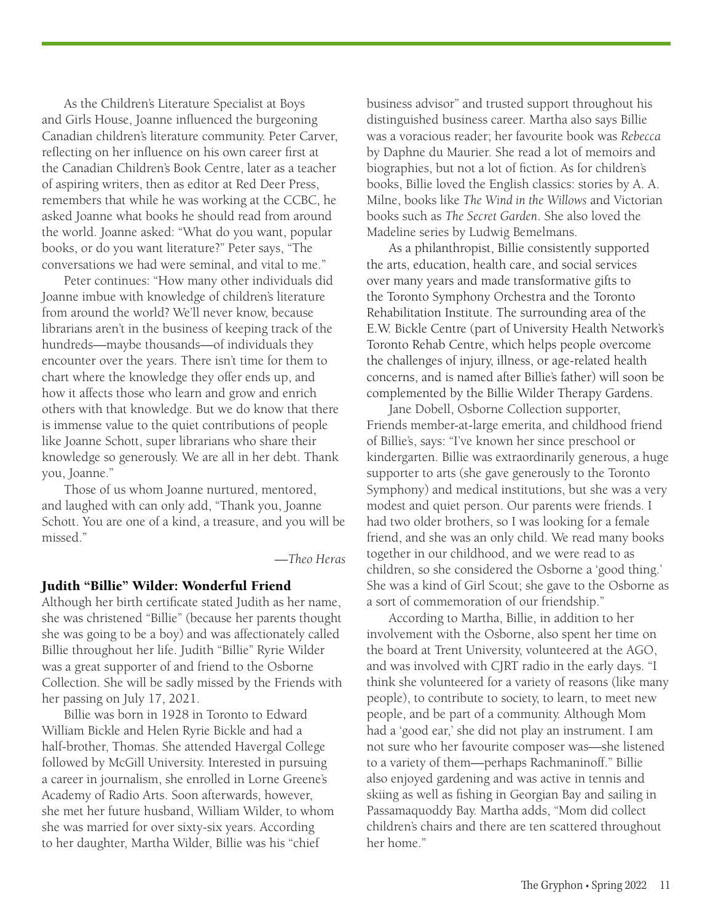As the Children's Literature Specialist at Boys and Girls House, Joanne influenced the burgeoning Canadian children's literature community. Peter Carver, reflecting on her influence on his own career first at the Canadian Children's Book Centre, later as a teacher of aspiring writers, then as editor at Red Deer Press, remembers that while he was working at the CCBC, he asked Joanne what books he should read from around the world. Joanne asked: "What do you want, popular books, or do you want literature?" Peter says, "The conversations we had were seminal, and vital to me."

Peter continues: "How many other individuals did Joanne imbue with knowledge of children's literature from around the world? We'll never know, because librarians aren't in the business of keeping track of the hundreds—maybe thousands—of individuals they encounter over the years. There isn't time for them to chart where the knowledge they offer ends up, and how it affects those who learn and grow and enrich others with that knowledge. But we do know that there is immense value to the quiet contributions of people like Joanne Schott, super librarians who share their knowledge so generously. We are all in her debt. Thank you, Joanne."

Those of us whom Joanne nurtured, mentored, and laughed with can only add, "Thank you, Joanne Schott. You are one of a kind, a treasure, and you will be missed."

*—Theo Heras*

#### Judith "Billie" Wilder: Wonderful Friend

Although her birth certificate stated Judith as her name, she was christened "Billie" (because her parents thought she was going to be a boy) and was affectionately called Billie throughout her life. Judith "Billie" Ryrie Wilder was a great supporter of and friend to the Osborne Collection. She will be sadly missed by the Friends with her passing on July 17, 2021.

Billie was born in 1928 in Toronto to Edward William Bickle and Helen Ryrie Bickle and had a half-brother, Thomas. She attended Havergal College followed by McGill University. Interested in pursuing a career in journalism, she enrolled in Lorne Greene's Academy of Radio Arts. Soon afterwards, however, she met her future husband, William Wilder, to whom she was married for over sixty-six years. According to her daughter, Martha Wilder, Billie was his "chief

business advisor" and trusted support throughout his distinguished business career. Martha also says Billie was a voracious reader; her favourite book was *Rebecca* by Daphne du Maurier. She read a lot of memoirs and biographies, but not a lot of fiction. As for children's books, Billie loved the English classics: stories by A. A. Milne, books like *The Wind in the Willows* and Victorian books such as *The Secret Garden*. She also loved the Madeline series by Ludwig Bemelmans.

As a philanthropist, Billie consistently supported the arts, education, health care, and social services over many years and made transformative gifts to the Toronto Symphony Orchestra and the Toronto Rehabilitation Institute. The surrounding area of the E.W. Bickle Centre (part of University Health Network's Toronto Rehab Centre, which helps people overcome the challenges of injury, illness, or age-related health concerns, and is named after Billie's father) will soon be complemented by the Billie Wilder Therapy Gardens.

Jane Dobell, Osborne Collection supporter, Friends member-at-large emerita, and childhood friend of Billie's, says: "I've known her since preschool or kindergarten. Billie was extraordinarily generous, a huge supporter to arts (she gave generously to the Toronto Symphony) and medical institutions, but she was a very modest and quiet person. Our parents were friends. I had two older brothers, so I was looking for a female friend, and she was an only child. We read many books together in our childhood, and we were read to as children, so she considered the Osborne a 'good thing.' She was a kind of Girl Scout; she gave to the Osborne as a sort of commemoration of our friendship."

According to Martha, Billie, in addition to her involvement with the Osborne, also spent her time on the board at Trent University, volunteered at the AGO, and was involved with CJRT radio in the early days. "I think she volunteered for a variety of reasons (like many people), to contribute to society, to learn, to meet new people, and be part of a community. Although Mom had a 'good ear,' she did not play an instrument. I am not sure who her favourite composer was—she listened to a variety of them—perhaps Rachmaninoff." Billie also enjoyed gardening and was active in tennis and skiing as well as fishing in Georgian Bay and sailing in Passamaquoddy Bay. Martha adds, "Mom did collect children's chairs and there are ten scattered throughout her home."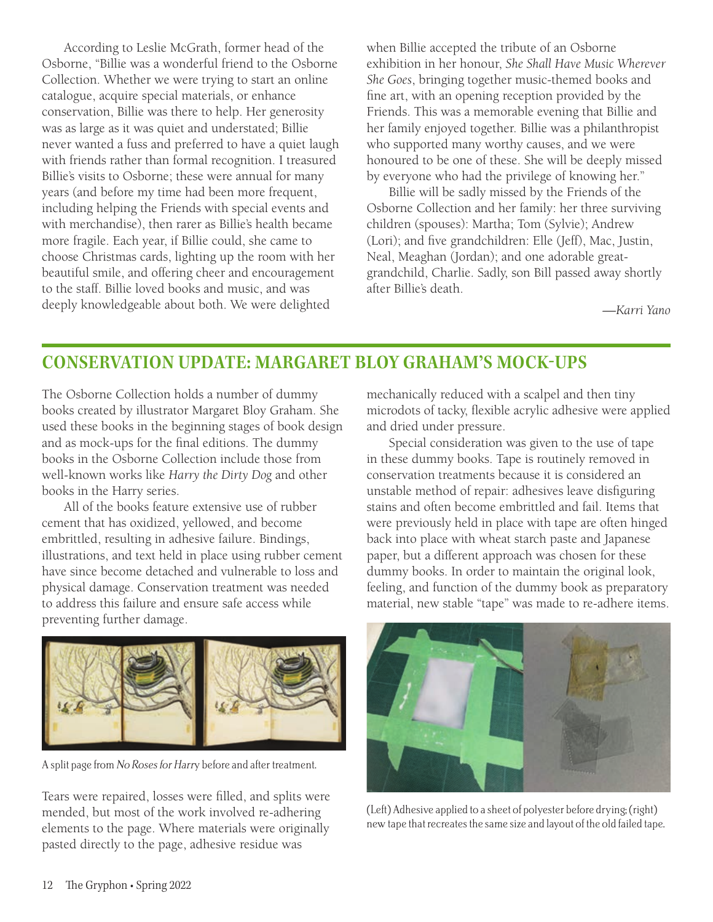According to Leslie McGrath, former head of the Osborne, "Billie was a wonderful friend to the Osborne Collection. Whether we were trying to start an online catalogue, acquire special materials, or enhance conservation, Billie was there to help. Her generosity was as large as it was quiet and understated; Billie never wanted a fuss and preferred to have a quiet laugh with friends rather than formal recognition. I treasured Billie's visits to Osborne; these were annual for many years (and before my time had been more frequent, including helping the Friends with special events and with merchandise), then rarer as Billie's health became more fragile. Each year, if Billie could, she came to choose Christmas cards, lighting up the room with her beautiful smile, and offering cheer and encouragement to the staff. Billie loved books and music, and was deeply knowledgeable about both. We were delighted

when Billie accepted the tribute of an Osborne exhibition in her honour, *She Shall Have Music Wherever She Goes*, bringing together music-themed books and fine art, with an opening reception provided by the Friends. This was a memorable evening that Billie and her family enjoyed together. Billie was a philanthropist who supported many worthy causes, and we were honoured to be one of these. She will be deeply missed by everyone who had the privilege of knowing her."

Billie will be sadly missed by the Friends of the Osborne Collection and her family: her three surviving children (spouses): Martha; Tom (Sylvie); Andrew (Lori); and five grandchildren: Elle (Jeff), Mac, Justin, Neal, Meaghan (Jordan); and one adorable greatgrandchild, Charlie. Sadly, son Bill passed away shortly after Billie's death.

*—Karri Yano*

## **CONSERVATION UPDATE: MARGARET BLOY GRAHAM**'**S MOCK-UPS**

The Osborne Collection holds a number of dummy books created by illustrator Margaret Bloy Graham. She used these books in the beginning stages of book design and as mock-ups for the final editions. The dummy books in the Osborne Collection include those from well-known works like *Harry the Dirty Dog* and other books in the Harry series.

All of the books feature extensive use of rubber cement that has oxidized, yellowed, and become embrittled, resulting in adhesive failure. Bindings, illustrations, and text held in place using rubber cement have since become detached and vulnerable to loss and physical damage. Conservation treatment was needed to address this failure and ensure safe access while preventing further damage.



A split page from No Roses for Harry before and after treatment.

Tears were repaired, losses were filled, and splits were mended, but most of the work involved re-adhering elements to the page. Where materials were originally pasted directly to the page, adhesive residue was

mechanically reduced with a scalpel and then tiny microdots of tacky, flexible acrylic adhesive were applied and dried under pressure.

Special consideration was given to the use of tape in these dummy books. Tape is routinely removed in conservation treatments because it is considered an unstable method of repair: adhesives leave disfiguring stains and often become embrittled and fail. Items that were previously held in place with tape are often hinged back into place with wheat starch paste and Japanese paper, but a different approach was chosen for these dummy books. In order to maintain the original look, feeling, and function of the dummy book as preparatory material, new stable "tape" was made to re-adhere items.



(Left) Adhesive applied to a sheet of polyester before drying; (right) new tape that recreates the same size and layout of the old failed tape.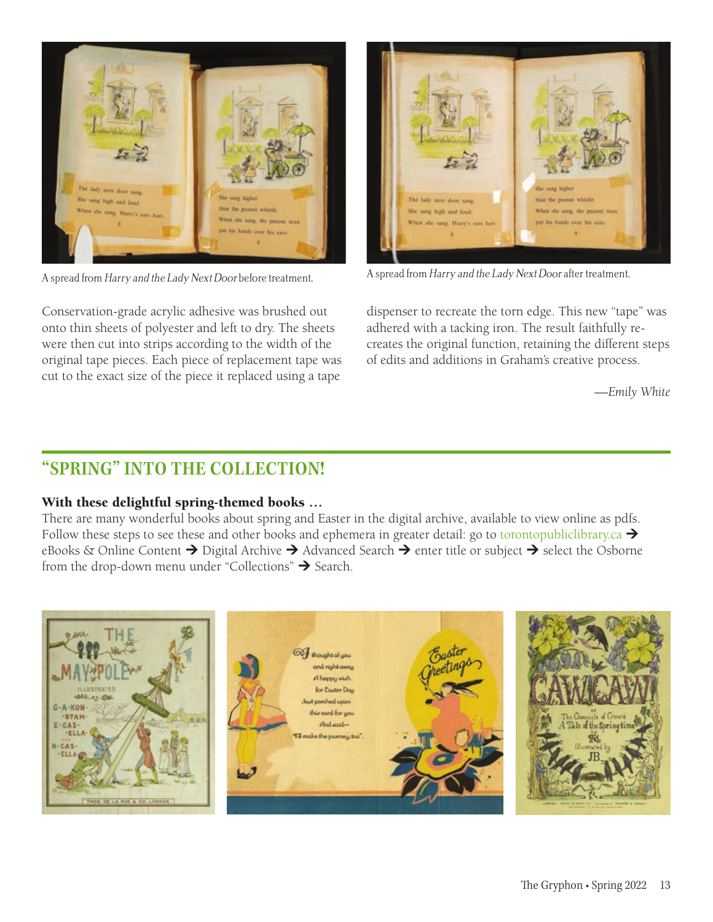

Conservation-grade acrylic adhesive was brushed out onto thin sheets of polyester and left to dry. The sheets were then cut into strips according to the width of the original tape pieces. Each piece of replacement tape was cut to the exact size of the piece it replaced using a tape



A spread from Harry and the Lady Next Door before treatment. A spread from Harry and the Lady Next Door after treatment.

dispenser to recreate the torn edge. This new "tape" was adhered with a tacking iron. The result faithfully recreates the original function, retaining the different steps of edits and additions in Graham's creative process.

*—Emily White*

## **"SPRING" INTO THE COLLECTION!**

#### With these delightful spring-themed books …

There are many wonderful books about spring and Easter in the digital archive, available to view online as pdfs. Follow these steps to see these and other books and ephemera in greater detail: go to torontopubliclibrary.ca  $\rightarrow$ eBooks & Online Content  $\rightarrow$  Digital Archive  $\rightarrow$  Advanced Search  $\rightarrow$  enter title or subject  $\rightarrow$  select the Osborne from the drop-down menu under "Collections"  $\rightarrow$  Search.

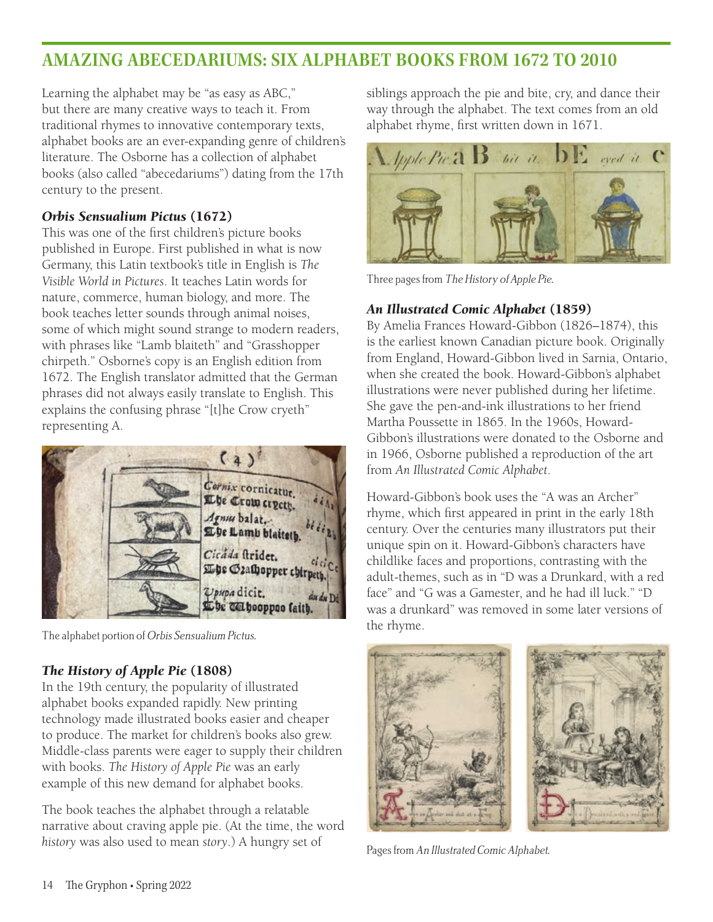## **AMAZING ABECEDARIUMS: SIX ALPHABET BOOKS FROM 1672 TO 2010**

Learning the alphabet may be "as easy as ABC," but there are many creative ways to teach it. From traditional rhymes to innovative contemporary texts, alphabet books are an ever-expanding genre of children's literature. The Osborne has a collection of alphabet books (also called "abecedariums") dating from the 17th century to the present.

#### *Orbis Sensualium Pictus* (1672)

This was one of the first children's picture books published in Europe. First published in what is now Germany, this Latin textbook's title in English is *The Visible World in Pictures*. It teaches Latin words for nature, commerce, human biology, and more. The book teaches letter sounds through animal noises, some of which might sound strange to modern readers, with phrases like "Lamb blaiteth" and "Grasshopper chirpeth." Osborne's copy is an English edition from 1672. The English translator admitted that the German phrases did not always easily translate to English. This explains the confusing phrase "[t]he Crow cryeth" representing A.



The alphabet portion of Orbis Sensualium Pictus.

## *The History of Apple Pie* (1808)

In the 19th century, the popularity of illustrated alphabet books expanded rapidly. New printing technology made illustrated books easier and cheaper to produce. The market for children's books also grew. Middle-class parents were eager to supply their children with books. *The History of Apple Pie* was an early example of this new demand for alphabet books.

The book teaches the alphabet through a relatable narrative about craving apple pie. (At the time, the word *history* was also used to mean *story*.) A hungry set of

siblings approach the pie and bite, cry, and dance their way through the alphabet. The text comes from an old alphabet rhyme, first written down in 1671.



Three pages from The History of Apple Pie.

## *An Illustrated Comic Alphabet* (1859)

By Amelia Frances Howard-Gibbon (1826–1874), this is the earliest known Canadian picture book. Originally from England, Howard-Gibbon lived in Sarnia, Ontario, when she created the book. Howard-Gibbon's alphabet illustrations were never published during her lifetime. She gave the pen-and-ink illustrations to her friend Martha Poussette in 1865. In the 1960s, Howard-Gibbon's illustrations were donated to the Osborne and in 1966, Osborne published a reproduction of the art from *An Illustrated Comic Alphabet*.

Howard-Gibbon's book uses the "A was an Archer" rhyme, which first appeared in print in the early 18th century. Over the centuries many illustrators put their unique spin on it. Howard-Gibbon's characters have childlike faces and proportions, contrasting with the adult-themes, such as in "D was a Drunkard, with a red face" and "G was a Gamester, and he had ill luck." "D was a drunkard" was removed in some later versions of the rhyme.



Pages from An Illustrated Comic Alphabet.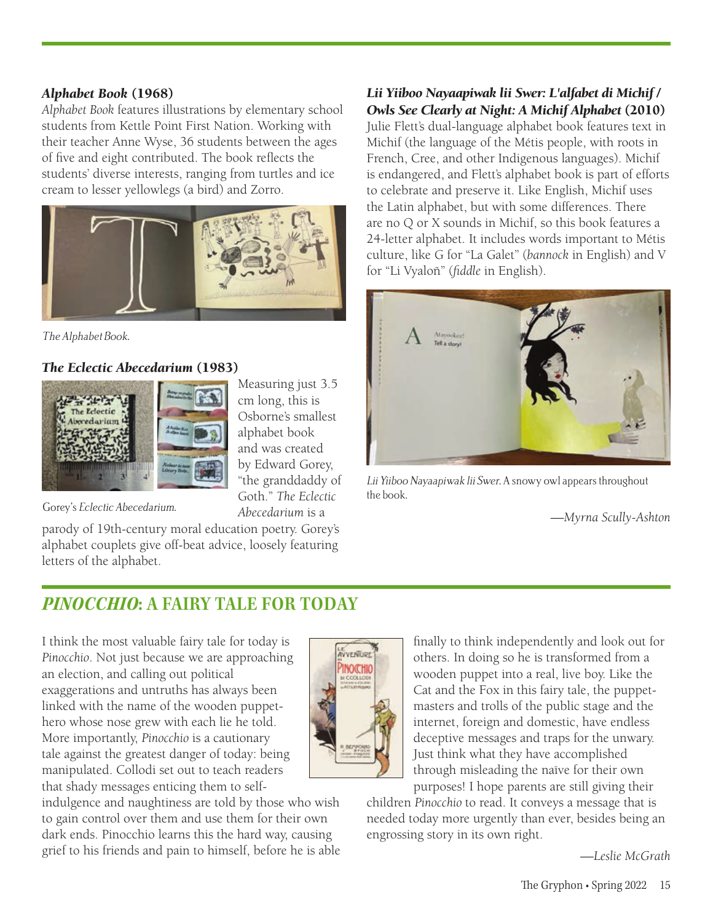#### *Alphabet Book* (1968)

*Alphabet Book* features illustrations by elementary school students from Kettle Point First Nation. Working with their teacher Anne Wyse, 36 students between the ages of five and eight contributed. The book reflects the students' diverse interests, ranging from turtles and ice cream to lesser yellowlegs (a bird) and Zorro.



The Alphabet Book.

## *The Eclectic Abecedarium* (1983)



Measuring just 3.5 cm long, this is Osborne's smallest alphabet book and was created by Edward Gorey, "the granddaddy of Goth." *The Eclectic Abecedarium* is a

Gorey's Eclectic Abecedarium.

parody of 19th-century moral education poetry. Gorey's alphabet couplets give off-beat advice, loosely featuring letters of the alphabet.

*Lii Yiiboo Nayaapiwak lii Swer: L'alfabet di Michif / Owls See Clearly at Night: A Michif Alphabet* (2010) Julie Flett's dual-language alphabet book features text in Michif (the language of the Métis people, with roots in French, Cree, and other Indigenous languages). Michif is endangered, and Flett's alphabet book is part of efforts to celebrate and preserve it. Like English, Michif uses the Latin alphabet, but with some differences. There are no Q or X sounds in Michif, so this book features a 24-letter alphabet. It includes words important to Métis culture, like G for "La Galet" (*bannock* in English) and V for "Li Vyaloñ" (*fiddle* in English).



Lii Yiiboo Nayaapiwak lii Swer. A snowy owl appears throughout the book.

*—Myrna Scully-Ashton*

## *PINOCCHIO***: A FAIRY TALE FOR TODAY**

I think the most valuable fairy tale for today is *Pinocchio*. Not just because we are approaching an election, and calling out political exaggerations and untruths has always been linked with the name of the wooden puppethero whose nose grew with each lie he told. More importantly, *Pinocchio* is a cautionary tale against the greatest danger of today: being manipulated. Collodi set out to teach readers that shady messages enticing them to self-

indulgence and naughtiness are told by those who wish to gain control over them and use them for their own dark ends. Pinocchio learns this the hard way, causing grief to his friends and pain to himself, before he is able



finally to think independently and look out for others. In doing so he is transformed from a wooden puppet into a real, live boy. Like the Cat and the Fox in this fairy tale, the puppetmasters and trolls of the public stage and the internet, foreign and domestic, have endless deceptive messages and traps for the unwary. Just think what they have accomplished through misleading the naïve for their own purposes! I hope parents are still giving their

children *Pinocchio* to read. It conveys a message that is needed today more urgently than ever, besides being an engrossing story in its own right.

*—Leslie McGrath*